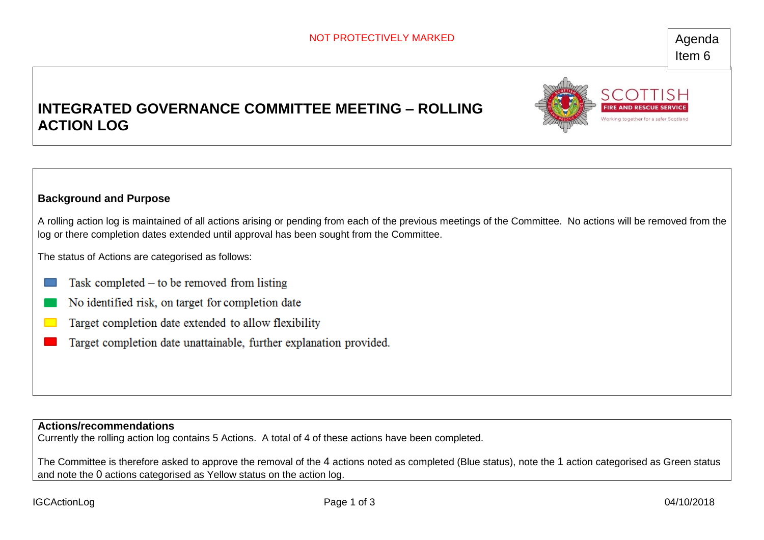# **INTEGRATED GOVERNANCE COMMITTEE MEETING – ROLLING ACTION LOG**



## **Background and Purpose**

A rolling action log is maintained of all actions arising or pending from each of the previous meetings of the Committee. No actions will be removed from the log or there completion dates extended until approval has been sought from the Committee.

The status of Actions are categorised as follows:

- Task completed  $-$  to be removed from listing
- No identified risk, on target for completion date
- Target completion date extended to allow flexibility  $\mathcal{L}(\mathcal{A})$
- Target completion date unattainable, further explanation provided.

#### **Actions/recommendations**

Currently the rolling action log contains 5 Actions. A total of 4 of these actions have been completed.

The Committee is therefore asked to approve the removal of the 4 actions noted as completed (Blue status), note the 1 action categorised as Green status and note the 0 actions categorised as Yellow status on the action log.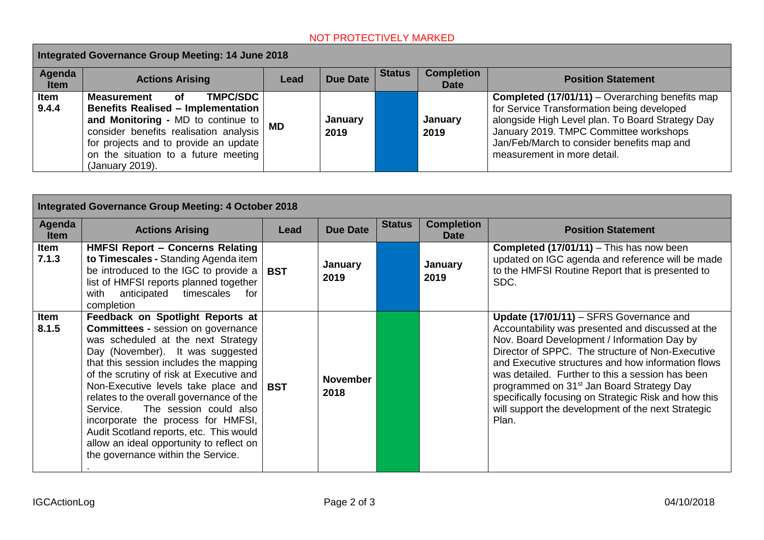# NOT PROTECTIVELY MARKED

| Integrated Governance Group Meeting: 14 June 2018 |                                                                                                                                                                                                                                                                         |           |                 |               |                                  |                                                                                                                                                                                                                                                                                 |  |
|---------------------------------------------------|-------------------------------------------------------------------------------------------------------------------------------------------------------------------------------------------------------------------------------------------------------------------------|-----------|-----------------|---------------|----------------------------------|---------------------------------------------------------------------------------------------------------------------------------------------------------------------------------------------------------------------------------------------------------------------------------|--|
| Agenda<br><b>Item</b>                             | <b>Actions Arising</b>                                                                                                                                                                                                                                                  | Lead      | <b>Due Date</b> | <b>Status</b> | <b>Completion</b><br><b>Date</b> | <b>Position Statement</b>                                                                                                                                                                                                                                                       |  |
| <b>Item</b><br>9.4.4                              | <b>TMPC/SDC</b><br>Measurement<br>Οf<br><b>Benefits Realised - Implementation</b><br>and Monitoring - MD to continue to  <br>consider benefits realisation analysis<br>for projects and to provide an update<br>on the situation to a future meeting<br>(January 2019). | <b>MD</b> | January<br>2019 |               | January<br>2019                  | <b>Completed (17/01/11)</b> – Overarching benefits map<br>for Service Transformation being developed<br>alongside High Level plan. To Board Strategy Day<br>January 2019. TMPC Committee workshops<br>Jan/Feb/March to consider benefits map and<br>measurement in more detail. |  |

| Integrated Governance Group Meeting: 4 October 2018 |                                                                                                                                                                                                                                                                                                                                                                                                                                                                                                                                           |            |                         |               |                                  |                                                                                                                                                                                                                                                                                                                                                                                                                                                                                           |  |
|-----------------------------------------------------|-------------------------------------------------------------------------------------------------------------------------------------------------------------------------------------------------------------------------------------------------------------------------------------------------------------------------------------------------------------------------------------------------------------------------------------------------------------------------------------------------------------------------------------------|------------|-------------------------|---------------|----------------------------------|-------------------------------------------------------------------------------------------------------------------------------------------------------------------------------------------------------------------------------------------------------------------------------------------------------------------------------------------------------------------------------------------------------------------------------------------------------------------------------------------|--|
| Agenda<br><b>Item</b>                               | <b>Actions Arising</b>                                                                                                                                                                                                                                                                                                                                                                                                                                                                                                                    | Lead       | <b>Due Date</b>         | <b>Status</b> | <b>Completion</b><br><b>Date</b> | <b>Position Statement</b>                                                                                                                                                                                                                                                                                                                                                                                                                                                                 |  |
| Item<br>7.1.3                                       | <b>HMFSI Report - Concerns Relating</b><br>to Timescales - Standing Agenda item<br>be introduced to the IGC to provide a $ $ BST<br>list of HMFSI reports planned together<br>timescales<br>with<br>anticipated<br>for<br>completion                                                                                                                                                                                                                                                                                                      |            | <b>January</b><br>2019  |               | January<br>2019                  | <b>Completed (17/01/11)</b> – This has now been<br>updated on IGC agenda and reference will be made<br>to the HMFSI Routine Report that is presented to<br>SDC.                                                                                                                                                                                                                                                                                                                           |  |
| Item<br>8.1.5                                       | Feedback on Spotlight Reports at<br><b>Committees - session on governance</b><br>was scheduled at the next Strategy<br>Day (November). It was suggested<br>that this session includes the mapping<br>of the scrutiny of risk at Executive and<br>Non-Executive levels take place and<br>relates to the overall governance of the<br>The session could also<br>Service.<br>incorporate the process for HMFSI,<br>Audit Scotland reports, etc. This would<br>allow an ideal opportunity to reflect on<br>the governance within the Service. | <b>BST</b> | <b>November</b><br>2018 |               |                                  | Update (17/01/11) - SFRS Governance and<br>Accountability was presented and discussed at the<br>Nov. Board Development / Information Day by<br>Director of SPPC. The structure of Non-Executive<br>and Executive structures and how information flows<br>was detailed. Further to this a session has been<br>programmed on 31 <sup>st</sup> Jan Board Strategy Day<br>specifically focusing on Strategic Risk and how this<br>will support the development of the next Strategic<br>Plan. |  |